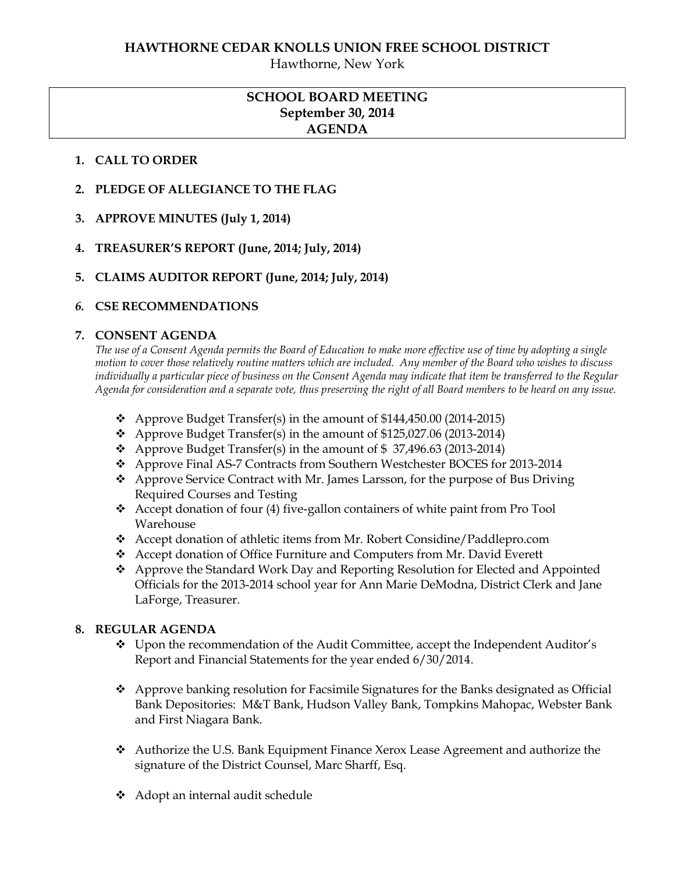Hawthorne, New York

# **SCHOOL BOARD MEETING September 30, 2014 AGENDA**

# **1. CALL TO ORDER**

- **2. PLEDGE OF ALLEGIANCE TO THE FLAG**
- **3. APPROVE MINUTES (July 1, 2014)**
- **4. TREASURER'S REPORT (June, 2014; July, 2014)**
- **5. CLAIMS AUDITOR REPORT (June, 2014; July, 2014)**

# *6.* **CSE RECOMMENDATIONS**

### **7. CONSENT AGENDA**

*The use of a Consent Agenda permits the Board of Education to make more effective use of time by adopting a single motion to cover those relatively routine matters which are included. Any member of the Board who wishes to discuss individually a particular piece of business on the Consent Agenda may indicate that item be transferred to the Regular Agenda for consideration and a separate vote, thus preserving the right of all Board members to be heard on any issue.* 

- $\bullet$  Approve Budget Transfer(s) in the amount of \$144,450.00 (2014-2015)
- Approve Budget Transfer(s) in the amount of \$125,027.06 (2013-2014)
- ◆ Approve Budget Transfer(s) in the amount of  $$37,496.63$  (2013-2014)
- Approve Final AS-7 Contracts from Southern Westchester BOCES for 2013-2014
- Approve Service Contract with Mr. James Larsson, for the purpose of Bus Driving Required Courses and Testing
- Accept donation of four (4) five-gallon containers of white paint from Pro Tool Warehouse
- Accept donation of athletic items from Mr. Robert Considine/Paddlepro.com
- Accept donation of Office Furniture and Computers from Mr. David Everett
- Approve the Standard Work Day and Reporting Resolution for Elected and Appointed Officials for the 2013-2014 school year for Ann Marie DeModna, District Clerk and Jane LaForge, Treasurer.

### **8. REGULAR AGENDA**

- Upon the recommendation of the Audit Committee, accept the Independent Auditor's Report and Financial Statements for the year ended 6/30/2014.
- $\triangle$  Approve banking resolution for Facsimile Signatures for the Banks designated as Official Bank Depositories: M&T Bank, Hudson Valley Bank, Tompkins Mahopac, Webster Bank and First Niagara Bank.
- Authorize the U.S. Bank Equipment Finance Xerox Lease Agreement and authorize the signature of the District Counsel, Marc Sharff, Esq.
- $\triangleleft$  Adopt an internal audit schedule